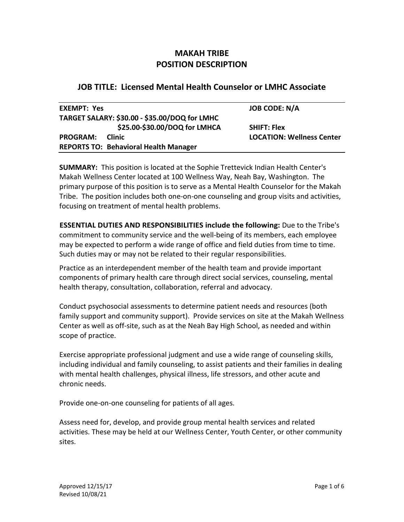# **MAKAH TRIBE POSITION DESCRIPTION**

# **JOB TITLE: Licensed Mental Health Counselor or LMHC Associate**

| <b>EXEMPT: Yes</b> |                                               | <b>JOB CODE: N/A</b>             |
|--------------------|-----------------------------------------------|----------------------------------|
|                    | TARGET SALARY: \$30.00 - \$35.00/DOQ for LMHC |                                  |
|                    | \$25.00-\$30.00/DOQ for LMHCA                 | <b>SHIFT: Flex</b>               |
| <b>PROGRAM:</b>    | <b>Clinic</b>                                 | <b>LOCATION: Wellness Center</b> |
|                    | <b>REPORTS TO: Behavioral Health Manager</b>  |                                  |

**SUMMARY:** This position is located at the Sophie Trettevick Indian Health Center's Makah Wellness Center located at 100 Wellness Way, Neah Bay, Washington. The primary purpose of this position is to serve as a Mental Health Counselor for the Makah Tribe. The position includes both one-on-one counseling and group visits and activities, focusing on treatment of mental health problems.

**ESSENTIAL DUTIES AND RESPONSIBILITIES include the following:** Due to the Tribe's commitment to community service and the well-being of its members, each employee may be expected to perform a wide range of office and field duties from time to time. Such duties may or may not be related to their regular responsibilities.

Practice as an interdependent member of the health team and provide important components of primary health care through direct social services, counseling, mental health therapy, consultation, collaboration, referral and advocacy.

Conduct psychosocial assessments to determine patient needs and resources (both family support and community support). Provide services on site at the Makah Wellness Center as well as off-site, such as at the Neah Bay High School, as needed and within scope of practice.

Exercise appropriate professional judgment and use a wide range of counseling skills, including individual and family counseling, to assist patients and their families in dealing with mental health challenges, physical illness, life stressors, and other acute and chronic needs.

Provide one-on-one counseling for patients of all ages.

Assess need for, develop, and provide group mental health services and related activities. These may be held at our Wellness Center, Youth Center, or other community sites.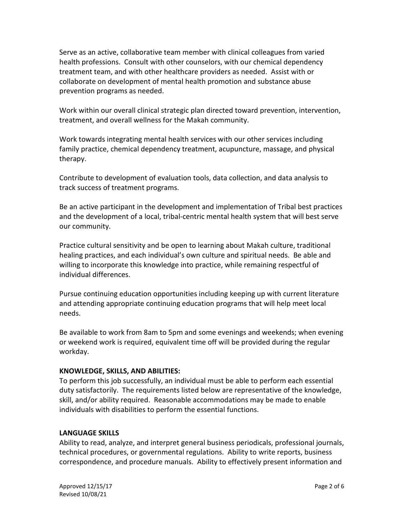Serve as an active, collaborative team member with clinical colleagues from varied health professions. Consult with other counselors, with our chemical dependency treatment team, and with other healthcare providers as needed. Assist with or collaborate on development of mental health promotion and substance abuse prevention programs as needed.

Work within our overall clinical strategic plan directed toward prevention, intervention, treatment, and overall wellness for the Makah community.

Work towards integrating mental health services with our other services including family practice, chemical dependency treatment, acupuncture, massage, and physical therapy.

Contribute to development of evaluation tools, data collection, and data analysis to track success of treatment programs.

Be an active participant in the development and implementation of Tribal best practices and the development of a local, tribal-centric mental health system that will best serve our community.

Practice cultural sensitivity and be open to learning about Makah culture, traditional healing practices, and each individual's own culture and spiritual needs. Be able and willing to incorporate this knowledge into practice, while remaining respectful of individual differences.

Pursue continuing education opportunities including keeping up with current literature and attending appropriate continuing education programs that will help meet local needs.

Be available to work from 8am to 5pm and some evenings and weekends; when evening or weekend work is required, equivalent time off will be provided during the regular workday.

## **KNOWLEDGE, SKILLS, AND ABILITIES:**

To perform this job successfully, an individual must be able to perform each essential duty satisfactorily. The requirements listed below are representative of the knowledge, skill, and/or ability required. Reasonable accommodations may be made to enable individuals with disabilities to perform the essential functions.

### **LANGUAGE SKILLS**

Ability to read, analyze, and interpret general business periodicals, professional journals, technical procedures, or governmental regulations. Ability to write reports, business correspondence, and procedure manuals. Ability to effectively present information and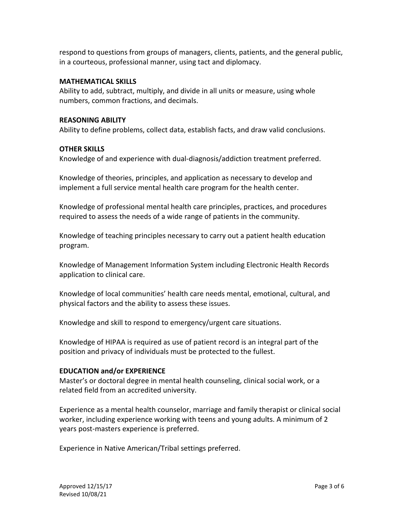respond to questions from groups of managers, clients, patients, and the general public, in a courteous, professional manner, using tact and diplomacy.

#### **MATHEMATICAL SKILLS**

Ability to add, subtract, multiply, and divide in all units or measure, using whole numbers, common fractions, and decimals.

#### **REASONING ABILITY**

Ability to define problems, collect data, establish facts, and draw valid conclusions.

#### **OTHER SKILLS**

Knowledge of and experience with dual-diagnosis/addiction treatment preferred.

Knowledge of theories, principles, and application as necessary to develop and implement a full service mental health care program for the health center.

Knowledge of professional mental health care principles, practices, and procedures required to assess the needs of a wide range of patients in the community.

Knowledge of teaching principles necessary to carry out a patient health education program.

Knowledge of Management Information System including Electronic Health Records application to clinical care.

Knowledge of local communities' health care needs mental, emotional, cultural, and physical factors and the ability to assess these issues.

Knowledge and skill to respond to emergency/urgent care situations.

Knowledge of HIPAA is required as use of patient record is an integral part of the position and privacy of individuals must be protected to the fullest.

### **EDUCATION and/or EXPERIENCE**

Master's or doctoral degree in mental health counseling, clinical social work, or a related field from an accredited university.

Experience as a mental health counselor, marriage and family therapist or clinical social worker, including experience working with teens and young adults. A minimum of 2 years post-masters experience is preferred.

Experience in Native American/Tribal settings preferred.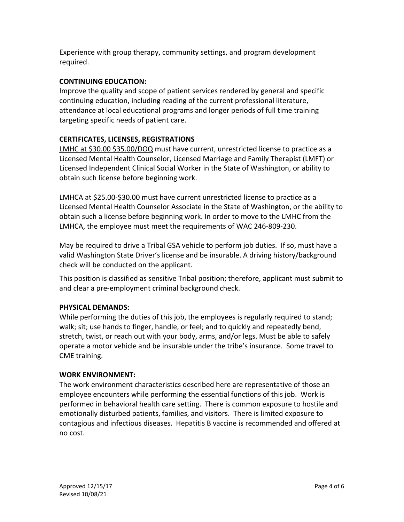Experience with group therapy, community settings, and program development required.

## **CONTINUING EDUCATION:**

Improve the quality and scope of patient services rendered by general and specific continuing education, including reading of the current professional literature, attendance at local educational programs and longer periods of full time training targeting specific needs of patient care.

# **CERTIFICATES, LICENSES, REGISTRATIONS**

LMHC at \$30.00 \$35.00/DOQ must have current, unrestricted license to practice as a Licensed Mental Health Counselor, Licensed Marriage and Family Therapist (LMFT) or Licensed Independent Clinical Social Worker in the State of Washington, or ability to obtain such license before beginning work.

LMHCA at \$25.00-\$30.00 must have current unrestricted license to practice as a Licensed Mental Health Counselor Associate in the State of Washington, or the ability to obtain such a license before beginning work. In order to move to the LMHC from the LMHCA, the employee must meet the requirements of WAC 246-809-230.

May be required to drive a Tribal GSA vehicle to perform job duties. If so, must have a valid Washington State Driver's license and be insurable. A driving history/background check will be conducted on the applicant.

This position is classified as sensitive Tribal position; therefore, applicant must submit to and clear a pre-employment criminal background check.

## **PHYSICAL DEMANDS:**

While performing the duties of this job, the employees is regularly required to stand; walk; sit; use hands to finger, handle, or feel; and to quickly and repeatedly bend, stretch, twist, or reach out with your body, arms, and/or legs. Must be able to safely operate a motor vehicle and be insurable under the tribe's insurance. Some travel to CME training.

### **WORK ENVIRONMENT:**

The work environment characteristics described here are representative of those an employee encounters while performing the essential functions of this job. Work is performed in behavioral health care setting. There is common exposure to hostile and emotionally disturbed patients, families, and visitors. There is limited exposure to contagious and infectious diseases. Hepatitis B vaccine is recommended and offered at no cost.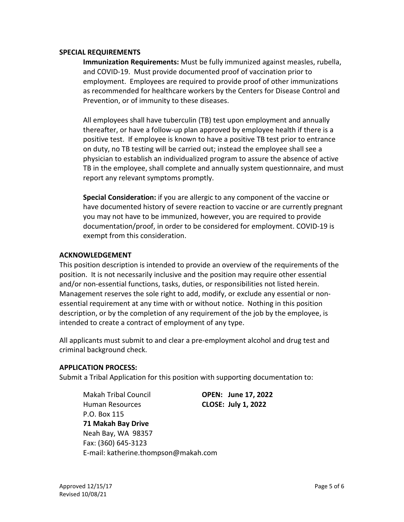#### **SPECIAL REQUIREMENTS**

**Immunization Requirements:** Must be fully immunized against measles, rubella, and COVID-19. Must provide documented proof of vaccination prior to employment. Employees are required to provide proof of other immunizations as recommended for healthcare workers by the Centers for Disease Control and Prevention, or of immunity to these diseases.

All employees shall have tuberculin (TB) test upon employment and annually thereafter, or have a follow-up plan approved by employee health if there is a positive test. If employee is known to have a positive TB test prior to entrance on duty, no TB testing will be carried out; instead the employee shall see a physician to establish an individualized program to assure the absence of active TB in the employee, shall complete and annually system questionnaire, and must report any relevant symptoms promptly.

**Special Consideration:** if you are allergic to any component of the vaccine or have documented history of severe reaction to vaccine or are currently pregnant you may not have to be immunized, however, you are required to provide documentation/proof, in order to be considered for employment. COVID-19 is exempt from this consideration.

### **ACKNOWLEDGEMENT**

This position description is intended to provide an overview of the requirements of the position. It is not necessarily inclusive and the position may require other essential and/or non-essential functions, tasks, duties, or responsibilities not listed herein. Management reserves the sole right to add, modify, or exclude any essential or nonessential requirement at any time with or without notice. Nothing in this position description, or by the completion of any requirement of the job by the employee, is intended to create a contract of employment of any type.

All applicants must submit to and clear a pre-employment alcohol and drug test and criminal background check.

### **APPLICATION PROCESS:**

Submit a Tribal Application for this position with supporting documentation to:

Makah Tribal Council **OPEN: June 17, 2022** Human Resources **CLOSE: July 1, 2022** P.O. Box 115 **71 Makah Bay Drive**  Neah Bay, WA 98357 Fax: (360) 645-3123 E-mail: katherine.thompson@makah.com